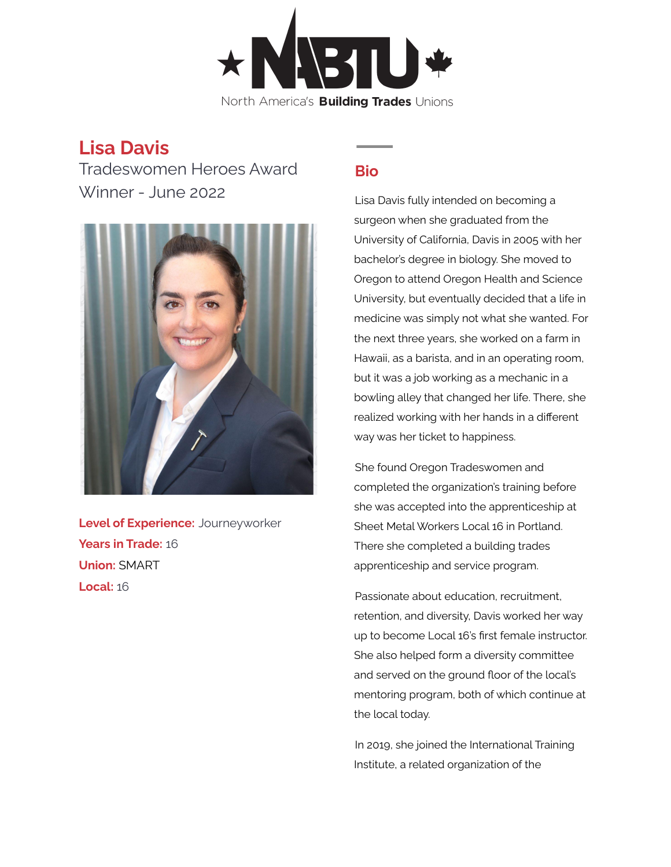

## **Lisa Davis**

Tradeswomen Heroes Award Winner - June 2022



**Level of Experience:** Journeyworker **Years in Trade:** 16 **Union:** SMART **Local:** 16

## **Bio**

Lisa Davis fully intended on becoming a surgeon when she graduated from the University of California, Davis in 2005 with her bachelor's degree in biology. She moved to Oregon to attend Oregon Health and Science University, but eventually decided that a life in medicine was simply not what she wanted. For the next three years, she worked on a farm in Hawaii, as a barista, and in an operating room, but it was a job working as a mechanic in a bowling alley that changed her life. There, she realized working with her hands in a different way was her ticket to happiness.

She found Oregon Tradeswomen and completed the organization's training before she was accepted into the apprenticeship at Sheet Metal Workers Local 16 in Portland. There she completed a building trades apprenticeship and service program.

Passionate about education, recruitment, retention, and diversity, Davis worked her way up to become Local 16's first female instructor. She also helped form a diversity committee and served on the ground floor of the local's mentoring program, both of which continue at the local today.

In 2019, she joined the International Training Institute, a related organization of the